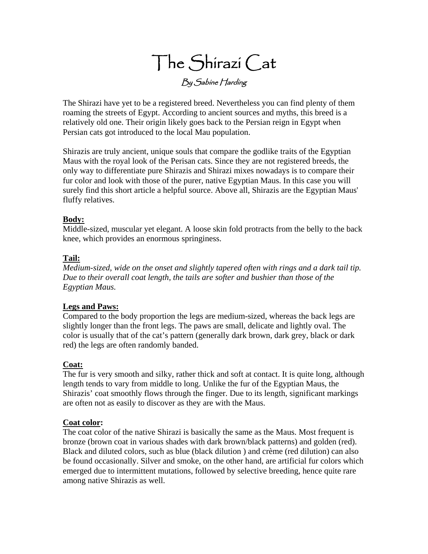# The Shirazi Cat By Sabine Harding

The Shirazi have yet to be a registered breed. Nevertheless you can find plenty of them roaming the streets of Egypt. According to ancient sources and myths, this breed is a relatively old one. Their origin likely goes back to the Persian reign in Egypt when Persian cats got introduced to the local Mau population.

Shirazis are truly ancient, unique souls that compare the godlike traits of the Egyptian Maus with the royal look of the Perisan cats. Since they are not registered breeds, the only way to differentiate pure Shirazis and Shirazi mixes nowadays is to compare their fur color and look with those of the purer, native Egyptian Maus. In this case you will surely find this short article a helpful source. Above all, Shirazis are the Egyptian Maus' fluffy relatives.

# **Body:**

Middle-sized, muscular yet elegant. A loose skin fold protracts from the belly to the back knee, which provides an enormous springiness.

# **Tail:**

*Medium-sized, wide on the onset and slightly tapered often with rings and a dark tail tip. Due to their overall coat length, the tails are softer and bushier than those of the Egyptian Maus.*

# **Legs and Paws:**

Compared to the body proportion the legs are medium-sized, whereas the back legs are slightly longer than the front legs. The paws are small, delicate and lightly oval. The color is usually that of the cat's pattern (generally dark brown, dark grey, black or dark red) the legs are often randomly banded.

#### **Coat:**

The fur is very smooth and silky, rather thick and soft at contact. It is quite long, although length tends to vary from middle to long. Unlike the fur of the Egyptian Maus, the Shirazis' coat smoothly flows through the finger. Due to its length, significant markings are often not as easily to discover as they are with the Maus.

#### **Coat color:**

The coat color of the native Shirazi is basically the same as the Maus. Most frequent is bronze (brown coat in various shades with dark brown/black patterns) and golden (red). Black and diluted colors, such as blue (black dilution ) and crème (red dilution) can also be found occasionally. Silver and smoke, on the other hand, are artificial fur colors which emerged due to intermittent mutations, followed by selective breeding, hence quite rare among native Shirazis as well.